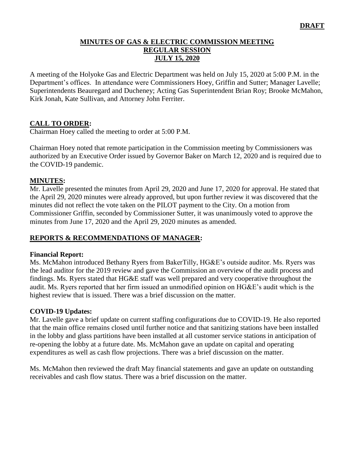### **MINUTES OF GAS & ELECTRIC COMMISSION MEETING REGULAR SESSION JULY 15, 2020**

A meeting of the Holyoke Gas and Electric Department was held on July 15, 2020 at 5:00 P.M. in the Department's offices. In attendance were Commissioners Hoey, Griffin and Sutter; Manager Lavelle; Superintendents Beauregard and Ducheney; Acting Gas Superintendent Brian Roy; Brooke McMahon, Kirk Jonah, Kate Sullivan, and Attorney John Ferriter.

### **CALL TO ORDER:**

Chairman Hoey called the meeting to order at 5:00 P.M.

Chairman Hoey noted that remote participation in the Commission meeting by Commissioners was authorized by an Executive Order issued by Governor Baker on March 12, 2020 and is required due to the COVID-19 pandemic.

### **MINUTES:**

Mr. Lavelle presented the minutes from April 29, 2020 and June 17, 2020 for approval. He stated that the April 29, 2020 minutes were already approved, but upon further review it was discovered that the minutes did not reflect the vote taken on the PILOT payment to the City. On a motion from Commissioner Griffin, seconded by Commissioner Sutter, it was unanimously voted to approve the minutes from June 17, 2020 and the April 29, 2020 minutes as amended.

### **REPORTS & RECOMMENDATIONS OF MANAGER:**

#### **Financial Report:**

Ms. McMahon introduced Bethany Ryers from BakerTilly, HG&E's outside auditor. Ms. Ryers was the lead auditor for the 2019 review and gave the Commission an overview of the audit process and findings. Ms. Ryers stated that HG&E staff was well prepared and very cooperative throughout the audit. Ms. Ryers reported that her firm issued an unmodified opinion on HG&E's audit which is the highest review that is issued. There was a brief discussion on the matter.

#### **COVID-19 Updates:**

Mr. Lavelle gave a brief update on current staffing configurations due to COVID-19. He also reported that the main office remains closed until further notice and that sanitizing stations have been installed in the lobby and glass partitions have been installed at all customer service stations in anticipation of re-opening the lobby at a future date. Ms. McMahon gave an update on capital and operating expenditures as well as cash flow projections. There was a brief discussion on the matter.

Ms. McMahon then reviewed the draft May financial statements and gave an update on outstanding receivables and cash flow status. There was a brief discussion on the matter.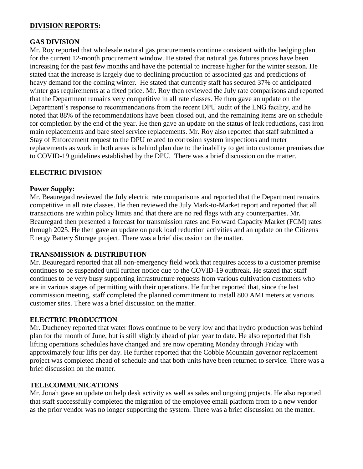### **DIVISION REPORTS:**

#### **GAS DIVISION**

Mr. Roy reported that wholesale natural gas procurements continue consistent with the hedging plan for the current 12-month procurement window. He stated that natural gas futures prices have been increasing for the past few months and have the potential to increase higher for the winter season. He stated that the increase is largely due to declining production of associated gas and predictions of heavy demand for the coming winter. He stated that currently staff has secured 37% of anticipated winter gas requirements at a fixed price. Mr. Roy then reviewed the July rate comparisons and reported that the Department remains very competitive in all rate classes. He then gave an update on the Department's response to recommendations from the recent DPU audit of the LNG facility, and he noted that 88% of the recommendations have been closed out, and the remaining items are on schedule for completion by the end of the year. He then gave an update on the status of leak reductions, cast iron main replacements and bare steel service replacements. Mr. Roy also reported that staff submitted a Stay of Enforcement request to the DPU related to corrosion system inspections and meter replacements as work in both areas is behind plan due to the inability to get into customer premises due to COVID-19 guidelines established by the DPU. There was a brief discussion on the matter.

### **ELECTRIC DIVISION**

#### **Power Supply:**

Mr. Beauregard reviewed the July electric rate comparisons and reported that the Department remains competitive in all rate classes. He then reviewed the July Mark-to-Market report and reported that all transactions are within policy limits and that there are no red flags with any counterparties. Mr. Beauregard then presented a forecast for transmission rates and Forward Capacity Market (FCM) rates through 2025. He then gave an update on peak load reduction activities and an update on the Citizens Energy Battery Storage project. There was a brief discussion on the matter.

### **TRANSMISSION & DISTRIBUTION**

Mr. Beauregard reported that all non-emergency field work that requires access to a customer premise continues to be suspended until further notice due to the COVID-19 outbreak. He stated that staff continues to be very busy supporting infrastructure requests from various cultivation customers who are in various stages of permitting with their operations. He further reported that, since the last commission meeting, staff completed the planned commitment to install 800 AMI meters at various customer sites. There was a brief discussion on the matter.

### **ELECTRIC PRODUCTION**

Mr. Ducheney reported that water flows continue to be very low and that hydro production was behind plan for the month of June, but is still slightly ahead of plan year to date. He also reported that fish lifting operations schedules have changed and are now operating Monday through Friday with approximately four lifts per day. He further reported that the Cobble Mountain governor replacement project was completed ahead of schedule and that both units have been returned to service. There was a brief discussion on the matter.

### **TELECOMMUNICATIONS**

Mr. Jonah gave an update on help desk activity as well as sales and ongoing projects. He also reported that staff successfully completed the migration of the employee email platform from to a new vendor as the prior vendor was no longer supporting the system. There was a brief discussion on the matter.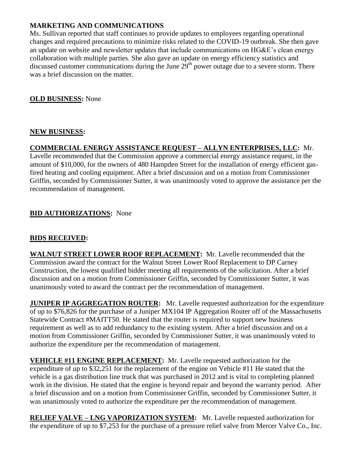### **MARKETING AND COMMUNICATIONS**

Ms. Sullivan reported that staff continues to provide updates to employees regarding operational changes and required precautions to minimize risks related to the COVID-19 outbreak. She then gave an update on website and newsletter updates that include communications on HG&E's clean energy collaboration with multiple parties. She also gave an update on energy efficiency statistics and discussed customer communications during the June  $29<sup>th</sup>$  power outage due to a severe storm. There was a brief discussion on the matter.

## **OLD BUSINESS:** None

## **NEW BUSINESS:**

# **COMMERCIAL ENERGY ASSISTANCE REQUEST – ALLYN ENTERPRISES, LLC:** Mr.

Lavelle recommended that the Commission approve a commercial energy assistance request, in the amount of \$10,000, for the owners of 480 Hampden Street for the installation of energy efficient gasfired heating and cooling equipment. After a brief discussion and on a motion from Commissioner Griffin, seconded by Commissioner Sutter, it was unanimously voted to approve the assistance per the recommendation of management.

# **BID AUTHORIZATIONS:** None

# **BIDS RECEIVED:**

**WALNUT STREET LOWER ROOF REPLACEMENT:** Mr. Lavelle recommended that the Commission award the contract for the Walnut Street Lower Roof Replacement to DP Carney Construction, the lowest qualified bidder meeting all requirements of the solicitation. After a brief discussion and on a motion from Commissioner Griffin, seconded by Commissioner Sutter, it was unanimously voted to award the contract per the recommendation of management.

**JUNIPER IP AGGREGATION ROUTER:** Mr. Lavelle requested authorization for the expenditure of up to \$76,826 for the purchase of a Juniper MX104 IP Aggregation Router off of the Massachusetts Statewide Contract #MAITT50. He stated that the router is required to support new business requirement as well as to add redundancy to the existing system. After a brief discussion and on a motion from Commissioner Griffin, seconded by Commissioner Sutter, it was unanimously voted to authorize the expenditure per the recommendation of management.

**VEHICLE #11 ENGINE REPLACEMENT:** Mr. Lavelle requested authorization for the expenditure of up to \$32,251 for the replacement of the engine on Vehicle #11 He stated that the vehicle is a gas distribution line truck that was purchased in 2012 and is vital to completing planned work in the division. He stated that the engine is beyond repair and beyond the warranty period. After a brief discussion and on a motion from Commissioner Griffin, seconded by Commissioner Sutter, it was unanimously voted to authorize the expenditure per the recommendation of management.

**RELIEF VALVE – LNG VAPORIZATION SYSTEM:** Mr. Lavelle requested authorization for the expenditure of up to \$7,253 for the purchase of a pressure relief valve from Mercer Valve Co., Inc.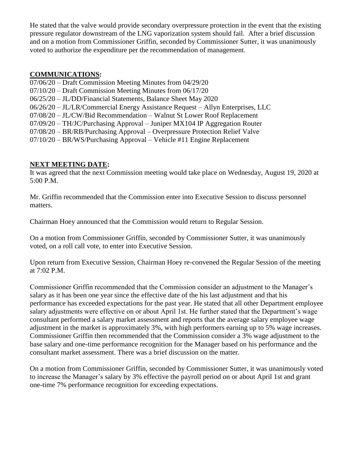He stated that the valve would provide secondary overpressure protection in the event that the existing pressure regulator downstream of the LNG vaporization system should fail. After a brief discussion and on a motion from Commissioner Griffin, seconded by Commissioner Sutter, it was unanimously voted to authorize the expenditure per the recommendation of management.

#### **COMMUNICATIONS:**

07/06/20 – Draft Commission Meeting Minutes from 04/29/20 07/10/20 – Draft Commission Meeting Minutes from 06/17/20 06/25/20 – JL/DD/Financial Statements, Balance Sheet May 2020 06/26/20 – JL/LR/Commercial Energy Assistance Request – Allyn Enterprises, LLC 07/08/20 – JL/CW/Bid Recommendation – Walnut St Lower Roof Replacement 07/09/20 – TH/JC/Purchasing Approval – Juniper MX104 IP Aggregation Router 07/08/20 – BR/RB/Purchasing Approval – Overpressure Protection Relief Valve

07/10/20 – BR/WS/Purchasing Approval – Vehicle #11 Engine Replacement

#### **NEXT MEETING DATE:**

It was agreed that the next Commission meeting would take place on Wednesday, August 19, 2020 at 5:00 P.M.

Mr. Griffin recommended that the Commission enter into Executive Session to discuss personnel matters.

Chairman Hoey announced that the Commission would return to Regular Session.

On a motion from Commissioner Griffin, seconded by Commissioner Sutter, it was unanimously voted, on a roll call vote, to enter into Executive Session.

Upon return from Executive Session, Chairman Hoey re-convened the Regular Session of the meeting at 7:02 P.M.

Commissioner Griffin recommended that the Commission consider an adjustment to the Manager's salary as it has been one year since the effective date of the his last adjustment and that his performance has exceeded expectations for the past year. He stated that all other Department employee salary adjustments were effective on or about April 1st. He further stated that the Department's wage consultant performed a salary market assessment and reports that the average salary employee wage adjustment in the market is approximately 3%, with high performers earning up to 5% wage increases. Commissioner Griffin then recommended that the Commission consider a 3% wage adjustment to the base salary and one-time performance recognition for the Manager based on his performance and the consultant market assessment. There was a brief discussion on the matter.

On a motion from Commissioner Griffin, seconded by Commissioner Sutter, it was unanimously voted to increase the Manager's salary by 3% effective the payroll period on or about April 1st and grant one-time 7% performance recognition for exceeding expectations.